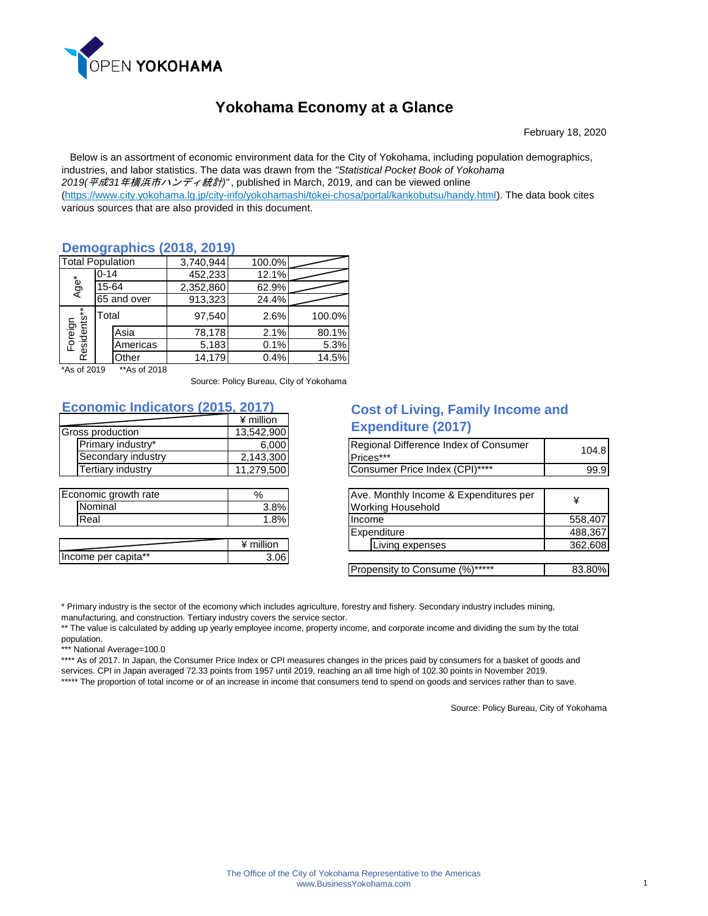

February 18, 2020

 Below is an assortment of economic environment data for the City of Yokohama, including population demographics, industries, and labor statistics. The data was drawn from the *"Statistical Pocket Book of Yokohama 2019(*平成*31*年横浜市ハンディ統計*)"* , published in March, 2019, and can be viewed online (https://www.city.yokohama.lg.jp/city-info/yokohamashi/tokei-chosa/portal/kankobutsu/handy.html). The data book cites various sources that are also provided in this document.

#### **Demographics (2018, 2019)**

| <b>Total Population</b> |          | 3,740,944   | 100.0%    |       |        |
|-------------------------|----------|-------------|-----------|-------|--------|
| Age <sup>*</sup>        | $0 - 14$ |             | 452,233   | 12.1% |        |
|                         | 15-64    |             | 2,352,860 | 62.9% |        |
|                         |          | 65 and over | 913,323   | 24.4% |        |
| Foreign<br>Residents**  | Total    |             | 97,540    | 2.6%  | 100.0% |
|                         |          | Asia        | 78,178    | 2.1%  | 80.1%  |
|                         |          | Americas    | 5,183     | 0.1%  | 5.3%   |
|                         |          | Other       | 14,179    | 0.4%  | 14.5%  |

\*As of 2019 \*\*As of 2018

Source: Policy Bureau, City of Yokohama

#### **Economic Indicators (2015, 2017)**

|                          | ¥ million  |
|--------------------------|------------|
| Gross production         | 13,542,900 |
| Primary industry*        | 6,000      |
| Secondary industry       | 2,143,300  |
| <b>Tertiary industry</b> | 11,279,500 |
|                          |            |
| Economic growth rate     | %          |
| Nominal                  | 3.8%       |
| Real                     | 1.8%       |
|                          |            |
|                          | ¥ million  |
|                          |            |

### **Cost of Living, Family Income and Expenditure (2017)**

| 6,000       | Regional Difference Index of Consumer  | 104.8   |
|-------------|----------------------------------------|---------|
| 2,143,300   | Prices***                              |         |
| 11,279,500  | Consumer Price Index (CPI)****         | 99.9    |
|             |                                        |         |
| %           | Ave. Monthly Income & Expenditures per | ¥       |
| 3.8%        | <b>Working Household</b>               |         |
| 1.8%        | Income                                 | 558,407 |
|             | Expenditure                            | 488,367 |
| $*$ million | Living expenses                        | 362,608 |
| 3.06        |                                        |         |
|             | Propensity to Consume (%)*****         | 83.80%  |

\* Primary industry is the sector of the ecomony which includes agriculture, forestry and fishery. Secondary industry includes mining, manufacturing, and construction. Tertiary industry covers the service sector.

\*\* The value is calculated by adding up yearly employee income, property income, and corporate income and dividing the sum by the total population.

\*\*\* National Average=100.0

\*\*\*\* As of 2017. In Japan, the Consumer Price Index or CPI measures changes in the prices paid by consumers for a basket of goods and services. CPI in Japan averaged 72.33 points from 1957 until 2019, reaching an all time high of 102.30 points in November 2019. \*\*\*\*\* The proportion of total income or of an increase in income that consumers tend to spend on goods and services rather than to save.

Source: Policy Bureau, City of Yokohama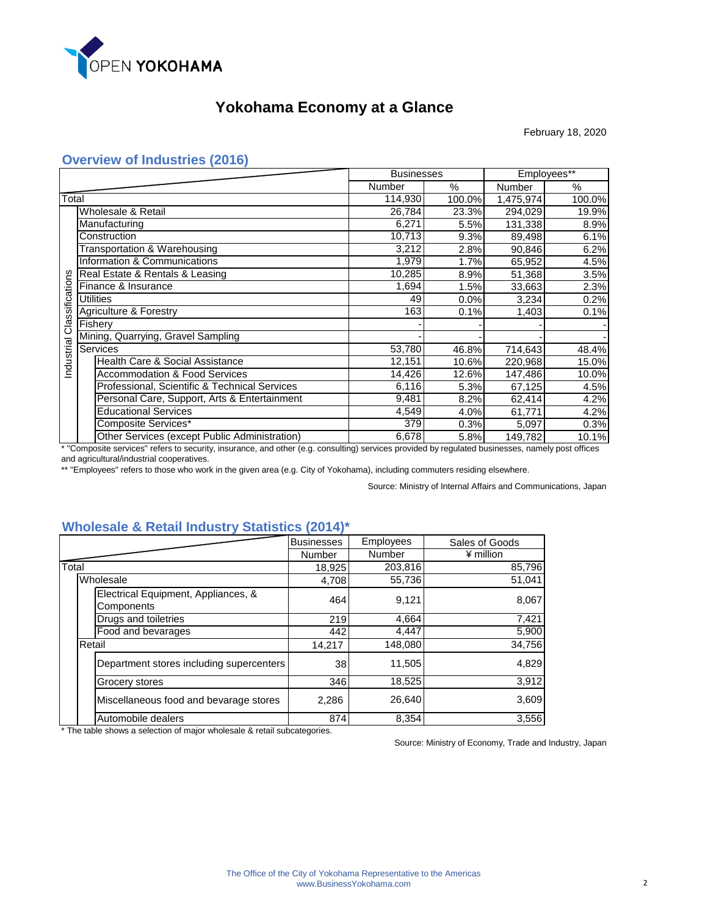

February 18, 2020

#### **Overview of Industries (2016)**

|            |                  |                                               | <b>Businesses</b> |        | Employees** |        |
|------------|------------------|-----------------------------------------------|-------------------|--------|-------------|--------|
|            |                  |                                               | Number            | $\%$   | Number      | $\%$   |
| Гоtal      |                  |                                               | 114,930           | 100.0% | 1,475,974   | 100.0% |
|            |                  | Wholesale & Retail                            | 26,784            | 23.3%  | 294,029     | 19.9%  |
|            |                  | Manufacturing                                 | 6,271             | 5.5%   | 131,338     | 8.9%   |
|            |                  | Construction                                  | 10,713            | 9.3%   | 89,498      | 6.1%   |
|            |                  | Transportation & Warehousing                  | 3,212             | 2.8%   | 90,846      | 6.2%   |
|            |                  | Information & Communications                  | 1,979             | 1.7%   | 65,952      | 4.5%   |
| <u>ဗ</u>   |                  | Real Estate & Rentals & Leasing               | 10,285            | 8.9%   | 51,368      | 3.5%   |
| ssificatio |                  | Finance & Insurance                           | 1,694             | 1.5%   | 33,663      | 2.3%   |
|            | <b>Utilities</b> |                                               | 49                | 0.0%   | 3,234       | 0.2%   |
|            |                  | Agriculture & Forestry                        | 163               | 0.1%   | 1,403       | 0.1%   |
| Ğ          |                  | Fishery                                       |                   |        |             |        |
|            |                  | Mining, Quarrying, Gravel Sampling            |                   |        |             |        |
| Industrial |                  | Services                                      | 53,780            | 46.8%  | 714,643     | 48.4%  |
|            |                  | Health Care & Social Assistance               | 12,151            | 10.6%  | 220,968     | 15.0%  |
|            |                  | <b>Accommodation &amp; Food Services</b>      | 14,426            | 12.6%  | 147,486     | 10.0%  |
|            |                  | Professional, Scientific & Technical Services | 6,116             | 5.3%   | 67,125      | 4.5%   |
|            |                  | Personal Care, Support, Arts & Entertainment  | 9,481             | 8.2%   | 62,414      | 4.2%   |
|            |                  | <b>Educational Services</b>                   | 4,549             | 4.0%   | 61,771      | 4.2%   |
|            |                  | Composite Services*                           | 379               | 0.3%   | 5,097       | 0.3%   |
|            |                  | Other Services (except Public Administration) | 6,678             | 5.8%   | 149,782     | 10.1%  |

\* "Composite services" refers to security, insurance, and other (e.g. consulting) services provided by regulated businesses, namely post offices and agricultural/industrial cooperatives.

\*\* "Employees" refers to those who work in the given area (e.g. City of Yokohama), including commuters residing elsewhere.

Source: Ministry of Internal Affairs and Communications, Japan

### **Wholesale & Retail Industry Statistics (2014)\***

|           |                                                   | <b>Businesses</b> | Employees | Sales of Goods |
|-----------|---------------------------------------------------|-------------------|-----------|----------------|
|           |                                                   | Number            | Number    | ¥ million      |
| Total     |                                                   | 18,925            | 203,816   | 85,796         |
| Wholesale |                                                   | 4,708             | 55,736    | 51,041         |
|           | Electrical Equipment, Appliances, &<br>Components | 464               | 9,121     | 8,067          |
|           | Drugs and toiletries                              | 219               | 4,664     | 7,421          |
|           | Food and bevarages                                | 442               | 4,447     | 5,900          |
| Retail    |                                                   | 14,217            | 148,080   | 34,756         |
|           | Department stores including supercenters          | 38                | 11,505    | 4,829          |
|           | Grocery stores                                    | 346               | 18,525    | 3,912          |
|           | Miscellaneous food and bevarage stores            | 2,286             | 26,640    | 3,609          |
|           | Automobile dealers                                | 874               | 8,354     | 3.556          |

\* The table shows a selection of major wholesale & retail subcategories.

Source: Ministry of Economy, Trade and Industry, Japan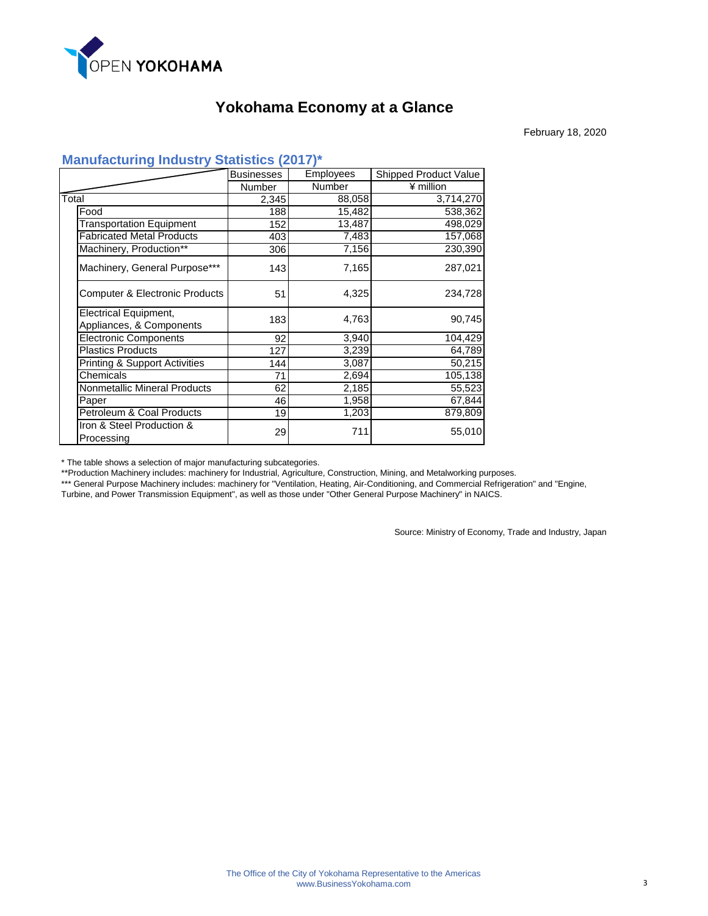

February 18, 2020

### **Manufacturing Industry Statistics (2017)\***

|       |                                                          | <b>Businesses</b> | Employees | <b>Shipped Product Value</b> |
|-------|----------------------------------------------------------|-------------------|-----------|------------------------------|
|       |                                                          | Number            | Number    | ¥ million                    |
| Total |                                                          | 2,345             | 88,058    | 3,714,270                    |
|       | Food                                                     | 188               | 15,482    | 538,362                      |
|       | <b>Transportation Equipment</b>                          | 152               | 13,487    | 498,029                      |
|       | <b>Fabricated Metal Products</b>                         | 403               | 7,483     | 157,068                      |
|       | Machinery, Production**                                  | 306               | 7,156     | 230,390                      |
|       | Machinery, General Purpose***                            | 143               | 7,165     | 287,021                      |
|       | Computer & Electronic Products                           | 51                | 4,325     | 234,728                      |
|       | <b>Electrical Equipment,</b><br>Appliances, & Components | 183               | 4,763     | 90,745                       |
|       | <b>Electronic Components</b>                             | 92                | 3,940     | 104,429                      |
|       | <b>Plastics Products</b>                                 | 127               | 3,239     | 64,789                       |
|       | <b>Printing &amp; Support Activities</b>                 | 144               | 3,087     | 50,215                       |
|       | Chemicals                                                | 71                | 2,694     | 105,138                      |
|       | <b>Nonmetallic Mineral Products</b>                      | 62                | 2,185     | 55,523                       |
|       | Paper                                                    | 46                | 1,958     | 67,844                       |
|       | Petroleum & Coal Products                                | 19                | 1,203     | 879,809                      |
|       | Iron & Steel Production &<br>Processing                  | 29                | 711       | 55,010                       |

\* The table shows a selection of major manufacturing subcategories.

\*\*Production Machinery includes: machinery for Industrial, Agriculture, Construction, Mining, and Metalworking purposes.

\*\*\* General Purpose Machinery includes: machinery for "Ventilation, Heating, Air-Conditioning, and Commercial Refrigeration" and "Engine,

Turbine, and Power Transmission Equipment", as well as those under "Other General Purpose Machinery" in NAICS.

Source: Ministry of Economy, Trade and Industry, Japan